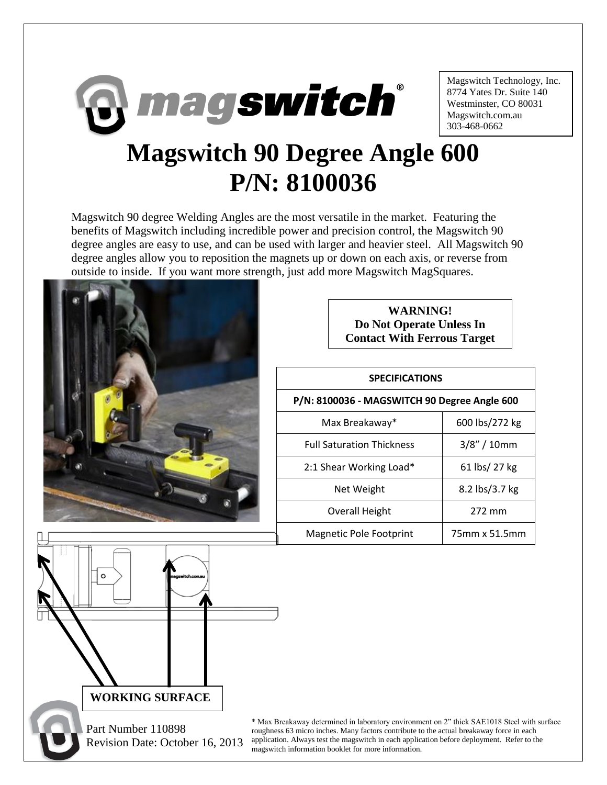

Magswitch Technology, Inc. 8774 Yates Dr. Suite 140 Westminster, CO 80031 Magswitch.com.au 303-468-0662

## **Magswitch 90 Degree Angle 600 P/N: 8100036**

Magswitch 90 degree Welding Angles are the most versatile in the market. Featuring the benefits of Magswitch including incredible power and precision control, the Magswitch 90 degree angles are easy to use, and can be used with larger and heavier steel. All Magswitch 90 degree angles allow you to reposition the magnets up or down on each axis, or reverse from outside to inside. If you want more strength, just add more Magswitch MagSquares.





 Part Number 110898 Revision Date: October 16, 2013

\* Max Breakaway determined in laboratory environment on 2" thick SAE1018 Steel with surface roughness 63 micro inches. Many factors contribute to the actual breakaway force in each application. Always test the magswitch in each application before deployment. Refer to the magswitch information booklet for more information.

## **WARNING! Do Not Operate Unless In Contact With Ferrous Target**

## **SPECIFICATIONS**

## **P/N: 8100036 - MAGSWITCH 90 Degree Angle 600**

| Max Breakaway*                   | 600 lbs/272 kg |
|----------------------------------|----------------|
| <b>Full Saturation Thickness</b> | $3/8''/10$ mm  |
| 2:1 Shear Working Load*          | 61 lbs/ 27 kg  |
| Net Weight                       | 8.2 lbs/3.7 kg |
| Overall Height                   | 272 mm         |
| <b>Magnetic Pole Footprint</b>   | 75mm x 51.5mm  |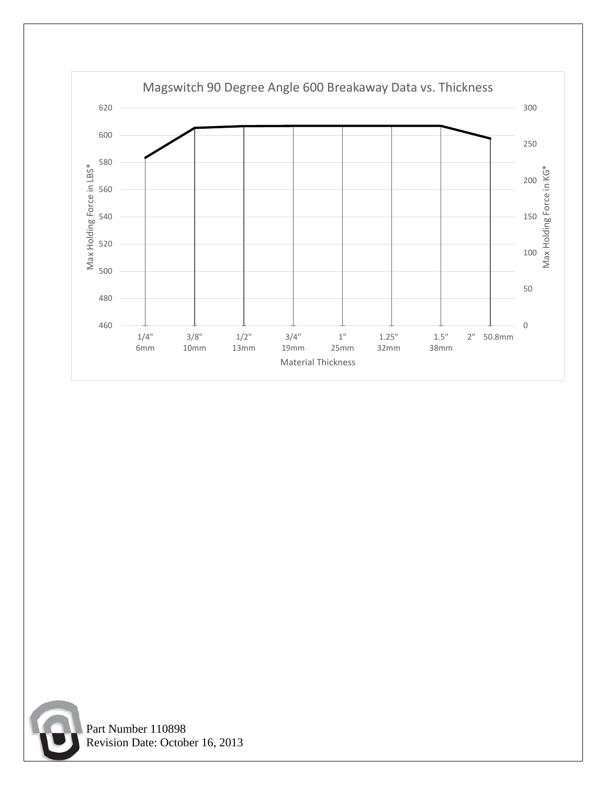